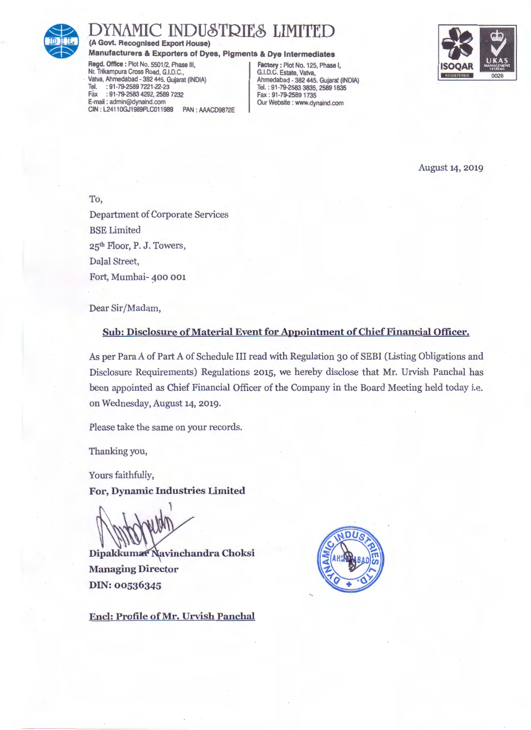

## INDUSTRIES LIMI

(A Govt. Recognised Export House)

Manufacturers & Exporters of Dyes, Pigments & Dye Intermediates

Regd. Office : Plot No. 5501/2, Phase III, Factory: Plot No. 125, Phase I, Nr. Trikampura Cross Road, G.I.D.C., Finance I, G.I.D.C. Estate, Vatva, Nr. Trikampura Cross Road, G.I.D.C., G.I.D.C. Estate, Vatva, Vatva, Ahmadabad - 382 445. Gujarat (INDIA) Ahmadabad - 382 445. Gujarat (INDIA) Tel. : 91 -79-2589 7221-22-23 Tel.: 91-79-2583 3835, 2589 1835 Fiix : 91-79-2583 4292, 2589 1232 Fax : 91 -79-2589 1735 CIN : L24110GJ1989PLC011989

PAN : AAACD9872E | Our Website : www.dynaind.com



August 14, 2019

To, Department of Corporate Services BSE Limited 25th Floor, P. J. Towers, Dalal Street, Fort, Mumbai- 400 001

Dear Sir/Madam,

## Sub: Disclosure of Material Event for Appointment of Chief Financial Officer.

As per Para A of Part A of Schedule III read with Regulation 30 of SEBI (Listing Obligations and Disclosure Requirements) Regulations 2015, we hereby disclose that Mr. Urvish Panchal has been appointed as Chief Financial Officer of the Company in the Board Meeting held today i.e. on Wednesday, August 14, 2019.

Please take the same on your records.

Thanking you,

Yours faithfully,

For, Dynamic Industries Limited

Dipakkumar Navinchandra Choksi Managing Director DIN: 00536345



Encl: Profile of Mr. Urvish Panchal